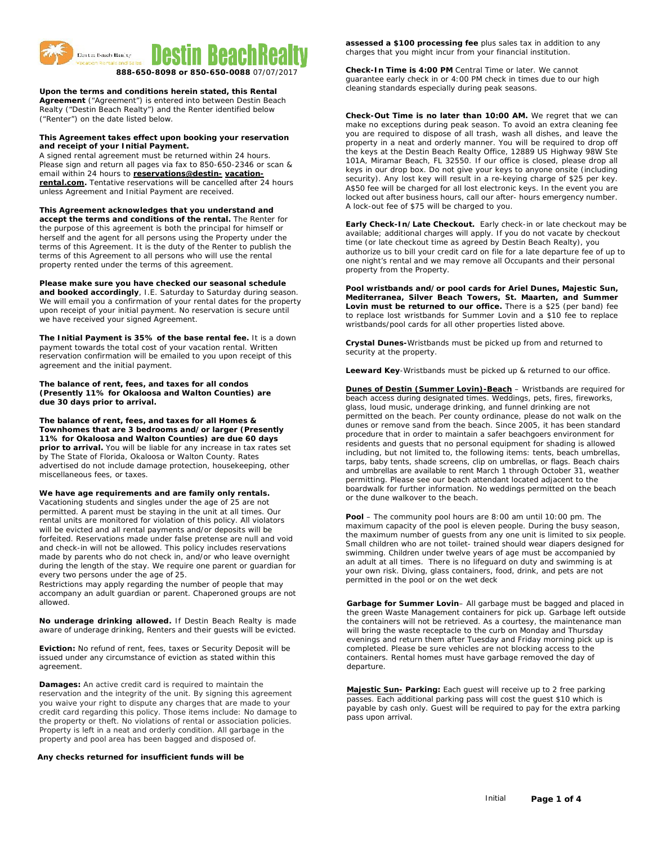

**Upon the terms and conditions herein stated, this Rental** 

**Agreement** ("Agreement") is entered into between Destin Beach Realty ("Destin Beach Realty") and the Renter identified below ("Renter") on the date listed below.

### **This Agreement takes effect upon booking your reservation and receipt of your Initial Payment.**

A signed rental agreement must be returned within 24 hours. Please sign and return all pages via fax to 850-650-2346 or scan & email within 24 hours to **[reservations@destin-](mailto:reservations@destin-vacation-rental.com) [vacation](mailto:reservations@destin-vacation-rental.com)[rental.com.](mailto:reservations@destin-vacation-rental.com)** Tentative reservations will be cancelled after 24 hours unless Agreement and Initial Payment are received.

**This Agreement acknowledges that you understand and accept the terms and conditions of the rental.** The Renter for the purpose of this agreement is both the principal for himself or herself and the agent for all persons using the Property under the terms of this Agreement. It is the duty of the Renter to publish the terms of this Agreement to all persons who will use the rental property rented under the terms of this agreement.

**Please make sure you have checked our seasonal schedule and booked accordingly**, I.E. Saturday to Saturday during season. We will email you a confirmation of your rental dates for the property upon receipt of your initial payment. No reservation is secure until we have received your signed Agreement.

**The Initial Payment is 35% of the base rental fee.** It is a down payment towards the total cost of your vacation rental. Written reservation confirmation will be emailed to you upon receipt of this agreement and the initial payment.

#### **The balance of rent, fees, and taxes for all condos (Presently 11% for Okaloosa and Walton Counties) are due 30 days prior to arrival.**

**The balance of rent, fees, and taxes for all Homes & Townhomes that are 3 bedrooms and/or larger (Presently 11% for Okaloosa and Walton Counties) are due 60 days prior to arrival.** You will be liable for any increase in tax rates set by The State of Florida, Okaloosa or Walton County. Rates advertised do not include damage protection, housekeeping, other miscellaneous fees, or taxes.

**We have age requirements and are family only rentals.**  Vacationing students and singles under the age of 25 are not permitted. A parent must be staying in the unit at all times. Our rental units are monitored for violation of this policy. All violators will be evicted and all rental payments and/or deposits will be forfeited. Reservations made under false pretense are null and void and check-in will not be allowed. This policy includes reservations made by parents who do not check in, and/or who leave overnight during the length of the stay. We require one parent or guardian for every two persons under the age of 25.

Restrictions may apply regarding the number of people that may accompany an adult guardian or parent. Chaperoned groups are not allowed.

**No underage drinking allowed.** If Destin Beach Realty is made aware of underage drinking, Renters and their guests will be evicted.

**Eviction:** No refund of rent, fees, taxes or Security Deposit will be issued under any circumstance of eviction as stated within this agreement.

**Damages:** An active credit card is required to maintain the reservation and the integrity of the unit. By signing this agreement you waive your right to dispute any charges that are made to your credit card regarding this policy. Those items include: No damage to the property or theft. No violations of rental or association policies. Property is left in a neat and orderly condition. All garbage in the property and pool area has been bagged and disposed of.

## **Any checks returned for insufficient funds will be**

**assessed a \$100 processing fee** plus sales tax in addition to any charges that you might incur from your financial institution.

**Check-In Time is 4:00 PM** Central Time or later. We cannot guarantee early check in or 4:00 PM check in times due to our high cleaning standards especially during peak seasons.

**Check-Out Time is no later than 10:00 AM.** We regret that we can make no exceptions during peak season. To avoid an extra cleaning fee you are required to dispose of all trash, wash all dishes, and leave the property in a neat and orderly manner. You will be required to drop off the keys at the *Destin Beach Realty* Office, 12889 US Highway 98W Ste 101A, Miramar Beach, FL 32550. If our office is closed, please drop all keys in our drop box. Do not give your keys to anyone onsite (including security). Any lost key will result in a re-keying charge of \$25 per key. A\$50 fee will be charged for all lost electronic keys. In the event you are locked out after business hours, call our after- hours emergency number. A lock-out fee of \$75 will be charged to you.

**Early Check-In/Late Checkout***.* Early check-in or late checkout may be available; additional charges will apply. If you do not vacate by checkout time (or late checkout time as agreed by Destin Beach Realty), you authorize us to bill your credit card on file for a late departure fee of up to one night's rental and we may remove all Occupants and their personal property from the Property.

**Pool wristbands and/or pool cards for Ariel Dunes, Majestic Sun, Mediterranea, Silver Beach Towers, St. Maarten, and Summer Lovin must be returned to our office.** There is a \$25 (per band) fee to replace lost wristbands for Summer Lovin and a \$10 fee to replace wristbands/pool cards for all other properties listed above.

**Crystal Dunes-**Wristbands must be picked up from and returned to security at the property.

**Leeward Key**-Wristbands must be picked up & returned to our office.

**Dunes of Destin (Summer Lovin)-Beach** – Wristbands are required for beach access during designated times. Weddings, pets, fires, fireworks, glass, loud music, underage drinking, and funnel drinking are not permitted on the beach. Per county ordinance, please do not walk on the dunes or remove sand from the beach. Since 2005, it has been standard procedure that in order to maintain a safer beachgoers environment for residents and guests that no personal equipment for shading is allowed including, but not limited to, the following items: tents, beach umbrellas, tarps, baby tents, shade screens, clip on umbrellas, or flags. Beach chairs and umbrellas are available to rent March 1 through October 31, weather permitting. Please see our beach attendant located adjacent to the boardwalk for further information. No weddings permitted on the beach or the dune walkover to the beach.

**Pool** – The community pool hours are 8:00 am until 10:00 pm. The maximum capacity of the pool is eleven people. During the busy season, the maximum number of guests from any one unit is limited to six people. Small children who are not toilet- trained should wear diapers designed for swimming. Children under twelve years of age must be accompanied by an adult at all times. There is no lifeguard on duty and swimming is at your own risk. Diving, glass containers, food, drink, and pets are not permitted in the pool or on the wet deck

**Garbage for Summer Lovin**– All garbage must be bagged and placed in the green Waste Management containers for pick up. Garbage left outside the containers will not be retrieved. As a courtesy, the maintenance man will bring the waste receptacle to the curb on Monday and Thursday evenings and return them after Tuesday and Friday morning pick up is completed. Please be sure vehicles are not blocking access to the containers. Rental homes must have garbage removed the day of departure.

**Majestic Sun- Parking:** Each guest will receive up to 2 free parking passes. Each additional parking pass will cost the guest \$10 which is payable by cash only. Guest will be required to pay for the extra parking pass upon arrival.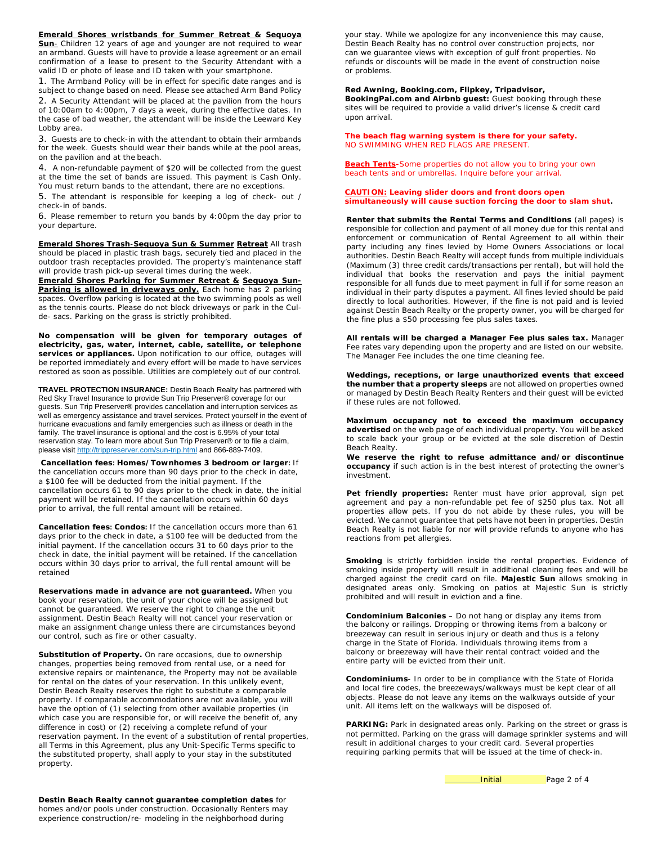**Emerald Shores wristbands for Summer Retreat & Sequoya Sun**- Children 12 years of age and younger are not required to wear an armband. Guests will have to provide a lease agreement or an email confirmation of a lease to present to the Security Attendant with a valid ID or photo of lease and ID taken with your smartphone.

1. The Armband Policy will be in effect for specific date ranges and is subject to change based on need. Please see attached Arm Band Policy 2. A Security Attendant will be placed at the pavilion from the hours of 10:00am to 4:00pm, 7 days a week, during the effective dates. In the case of bad weather, the attendant will be inside the Leeward Key Lobby area.

3. Guests are to check-in with the attendant to obtain their armbands for the week. Guests should wear their bands while at the pool areas, on the pavilion and at the beach.

4. A non-refundable payment of \$20 will be collected from the guest at the time the set of bands are [issued. This payment](http://www.destin-vacation-rental.com./) is Cash Only. You must return bands to the attendant, there are no exceptions.

5. The attendant is responsible for keeping a log of check- out / check-in of bands.

6. Please remember to return you bands by 4:00pm the day prior to your departure.

**Emerald Shores Trash**-**Sequoya Sun & Summer Retreat** All trash should be placed in plastic trash bags, securely tied and placed in the outdoor trash receptacles provided. The property's maintenance staff will provide trash pick-up several times during the week.

**Emerald Shores Parking for Summer Retreat & Sequoya Sun-**Parking is allowed in driveways only. Each home has 2 parking spaces. Overflow parking is located at the two swimming pools as well as the tennis courts. Please do not block driveways or park in the Culde- sacs. Parking on the grass is strictly prohibited.

**No compensation will be given for temporary outages of electricity, gas, water, internet, cable, satellite, or telephone**  services or appliances. Upon notification to our office, outages will be reported immediately and every effort will be made to have services restored as soon as possible. Utilities are completely out of our control.

**TRAVEL PROTECTION INSURANCE:** Destin Beach Realty has partnered with Red Sky Travel Insurance to provide Sun Trip Preserver® coverage for our guests. Sun Trip Preserver® provides cancellation and interruption services as well as emergency assistance and travel services. Protect yourself in the event of hurricane evacuations and family emergencies such as illness or death in the family. The travel insurance is optional and the cost is 6.95% of your total reservation stay. To learn more about Sun Trip Preserver® or to file a claim, please visi[t http://trippreserver.com/sun-trip.html](http://trippreserver.com/sun-trip.html) and 866-889-7409.

**Cancellation fees: Homes/Townhomes 3 bedroom or larger:** If the cancellation occurs more than 90 days prior to the check in date, a \$100 fee will be deducted from the initial payment. If the cancellation occurs 61 to 90 days prior to the check in date, the initial payment will be retained. If the cancellation occurs within 60 days prior to arrival, the full rental amount will be retained.

**Cancellation fees: Condos:** If the cancellation occurs more than 61 days prior to the check in date, a \$100 fee will be deducted from the initial payment. If the cancellation occurs 31 to 60 days prior to the check in date, the initial payment will be retained. If the cancellation occurs within 30 days prior to arrival, the full rental amount will be retained

**Reservations made in advance are not guaranteed.** When you book your reservation, the unit of your choice will be assigned but cannot be guaranteed. We reserve the right to change the unit assignment. Destin Beach Realty will not cancel your reservation or make an assignment change unless there are circumstances beyond our control, such as fire or other casualty.

**Substitution of Property***.* On rare occasions, due to ownership changes, properties being removed from rental use, or a need for extensive repairs or maintenance, the Property may not be available for rental on the dates of your reservation. In this unlikely event, Destin Beach Realty reserves the right to substitute a comparable property. If comparable accommodations are not available, you will have the option of (1) selecting from other available properties (in which case you are responsible for, or will receive the benefit of, any difference in cost) or (2) receiving a complete refund of your reservation payment. In the event of a substitution of rental properties, all Terms in this Agreement, plus any Unit-Specific Terms specific to the substituted property, shall apply to your stay in the substituted property.

your stay. While we apologize for any inconvenience this may cause, Destin Beach Realty has no control over construction projects, nor can we guarantee views with exception of gulf front properties. No refunds or discounts will be made in the event of construction noise or problems.

# **Red Awning, Booking.com, Flipkey, Tripadvisor,**

**BookingPal.com and Airbnb guest:** Guest booking through these sites will be required to provide a valid driver's license & credit card upon arrival.

**The beach flag warning system is there for your safety.** NO SWIMMING WHEN RED FLAGS ARE PRESENT.

**Beach Tents-**Some properties do not allow you to bring your own beach tents and or umbrellas. Inquire before your arrival.

### *CAUTION:* **Leaving slider doors and front doors open simultaneously will cause suction forcing the door to slam shut.**

**Renter that submits the Rental Terms and Conditions** (all pages) is responsible for collection and payment of all money due for this rental and enforcement or communication of Rental Agreement to all within their party including any fines levied by Home Owners Associations or local authorities. Destin Beach Realty will accept funds from multiple individuals (Maximum (3) three credit cards/transactions per rental), but will hold the individual that books the reservation and pays the initial payment responsible for all funds due to meet payment in full if for some reason an individual in their party disputes a payment. All fines levied should be paid directly to local authorities. However, if the fine is not paid and is levied against Destin Beach Realty or the property owner, you will be charged for the fine plus a \$50 processing fee plus sales taxes.

**All rentals will be charged a Manager Fee plus sales tax.** Manager Fee rates vary depending upon the property and are listed on our website. The Manager Fee includes the one time cleaning fee.

**Weddings, receptions, or large unauthorized events that exceed the number that a property sleeps** are not allowed on properties owned or managed by Destin Beach Realty Renters and their guest will be evicted if these rules are not followed.

**Maximum occupancy not to exceed the maximum occupancy advertised** on the web page of each individual property. You will be asked to scale back your group or be evicted at the sole discretion of Destin Beach Realty.

**We reserve the right to refuse admittance and/or discontinue occupancy** if such action is in the best interest of protecting the owner's investment.

**Pet friendly properties:** Renter must have prior approval, sign pet agreement and pay a non-refundable pet fee of \$250 plus tax. Not all properties allow pets. If you do not abide by these rules, you will be evicted. We cannot guarantee that pets have not been in properties. Destin Beach Realty is not liable for nor will provide refunds to anyone who has reactions from pet allergies.

**Smoking** is strictly forbidden inside the rental properties. Evidence of smoking is strictly rereaded. These the relief properties entering field smoking inside property will result in additional cleaning fees and will be charged against the credit card on file. **Majestic Sun** allows smoking in designated areas only. Smoking on patios at Majestic Sun is strictly prohibited and will result in eviction and a fine.

**Condominium Balconies** – Do not hang or display any items from the balcony or railings. Dropping or throwing items from a balcony or breezeway can result in serious injury or death and thus is a felony charge in the State of Florida. Individuals throwing items from a balcony or breezeway will have their rental contract voided and the entire party will be evicted from their unit.

**Condominiums**- In order to be in compliance with the State of Florida and local fire codes, the breezeways/walkways must be kept clear of all objects. Please do not leave any items on the walkways outside of your unit. All items left on the walkways will be disposed of.

PARKING: Park in designated areas only. Parking on the street or grass is not permitted. Parking on the grass will damage sprinkler systems and will result in additional charges to your credit card. Several properties requiring parking permits that will be issued at the time of check-in.

**Initial** Page 2 of 4

**Destin Beach Realty cannot guarantee completion dates** for homes and/or pools under construction. Occasionally Renters may experience construction/re- modeling in the neighborhood during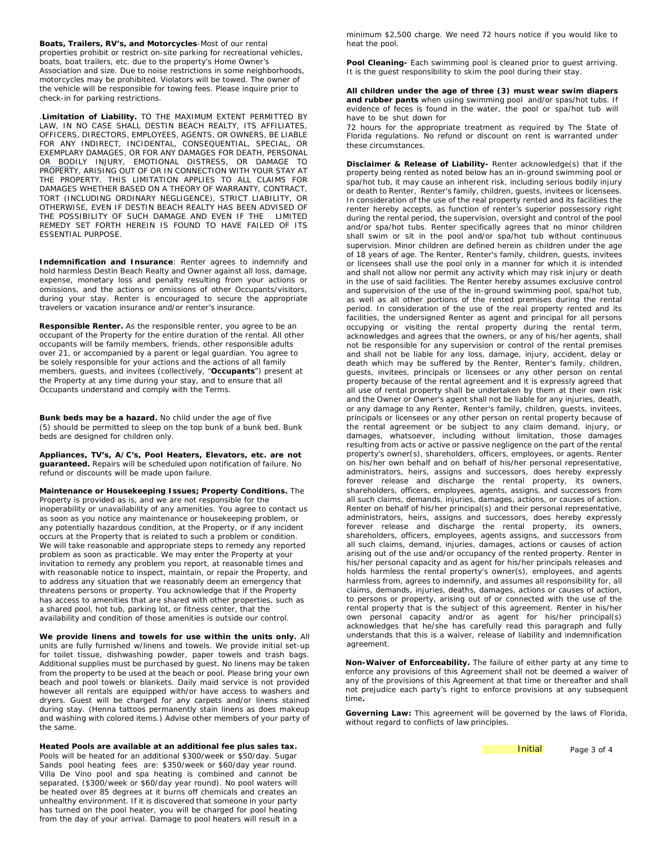**Boats, Trailers, RV's, and Motorcycles**-Most of our rental properties prohibit or restrict on-site parking for recreational vehicles, boats, boat trailers, etc. due to the property's Home Owner's Association and size. Due to noise restrictions in some neighborhoods, motorcycles may be prohibited. Violators will be towed. The owner of the vehicle will be responsible for towing fees. Please inquire prior to check-in for parking restrictions.

.**Limitation of Liability.** TO THE MAXIMUM EXTENT PERMITTED BY LAW, IN NO CASE SHALL DESTIN BEACH REALTY, ITS AFFILIATES, OFFICERS, DIRECTORS, EMPLOYEES, AGENTS, OR OWNERS, BE LIABLE FOR ANY INDIRECT, INCIDENTAL, CONSEQUENTIAL, SPECIAL, OR EXEMPLARY DAMAGES, OR FOR ANY DAMAGES FOR DEATH, PERSONAL OR BODILY INJURY, EMOTIONAL DISTRESS, OR DAMAGE TO PROPERTY, ARISING OUT OF OR IN CONNECTION WITH YOUR STAY AT THE PROPERTY. THIS LIMITATION APPLIES TO ALL CLAIMS FOR DAMAGES WHETHER BASED ON A THEORY OF WARRANTY, CONTRACT, TORT (INCLUDING ORDINARY NEGLIGENCE), STRICT LIABILITY, OR OTHERWISE, EVEN IF DESTIN BEACH REALTY HAS BEEN ADVISED OF THE POSSIBILITY OF SUCH DAMAGE AND EVEN IF THE LIMITED REMEDY SET FORTH HEREIN IS FOUND TO HAVE FAILED OF ITS ESSENTIAL PURPOSE.

**Indemnification and Insurance**: Renter agrees to indemnify and hold harmless Destin Beach Realty and Owner against all loss, damage, expense, monetary loss and penalty resulting from your actions or omissions, and the actions or omissions of other Occupants/visitors, during your stay. Renter is encouraged to secure the appropriate travelers or vacation insurance and/or renter's insurance.

**Responsible Renter.** As the responsible renter, you agree to be an occupant of the Property for the entire duration of the rental. All other occupants will be family members, friends, other responsible adults over 21, or accompanied by a parent or legal guardian. You agree to be solely responsible for your actions and the actions of all family members, guests, and invitees (collectively, "**Occupants**") present at the Property at any time during your stay, and to ensure that all Occupants understand and comply with the Terms.

**Bunk beds may be a hazard.** No child under the age of five (5) should be permitted to sleep on the top bunk of a bunk bed. Bunk beds are designed for children only.

**Appliances, TV's, A/C's, Pool Heaters, Elevators, etc. are not guaranteed.** Repairs will be scheduled upon notification of failure. No refund or discounts will be made upon failure.

**Maintenance or Housekeeping Issues; Property Conditions.** The Property is provided as is, and we are not responsible for the inoperability or unavailability of any amenities. You agree to contact us as soon as you notice any maintenance or housekeeping problem, or any potentially hazardous condition, at the Property, or if any incident occurs at the Property that is related to such a problem or condition. We will take reasonable and appropriate steps to remedy any reported problem as soon as practicable. We may enter the Property at your invitation to remedy any problem you report, at reasonable times and with reasonable notice to inspect, maintain, or repair the Property, and to address any situation that we reasonably deem an emergency that threatens persons or property. You acknowledge that if the Property has access to amenities that are shared with other properties, such as a shared pool, hot tub, parking lot, or fitness center, that the availability and condition of those amenities is outside our control.

**We provide linens and towels for use within the units only.** All units are fully furnished w/linens and towels. We provide initial set-up for toilet tissue, dishwashing powder, paper towels and trash bags. Additional supplies must be purchased by guest. No linens may be taken from the property to be used at the beach or pool. Please bring your own beach and pool towels or blankets. Daily maid service is not provided however all rentals are equipped with/or have access to washers and dryers. Guest will be charged for any carpets and/or linens stained during stay. (Henna tattoos permanently stain linens as does makeup and washing with colored items.) Advise other members of your party of the same.

**Heated Pools are available at an additional fee plus sales tax.** Pools will be heated for an additional \$300/week or \$50/day. Sugar Sands pool heating fees are: \$350/week or \$60/day year round. Villa De Vino pool and spa heating is combined and cannot be separated, (\$300/week or \$60/day year round). No pool waters will be heated over 85 degrees at it burns off chemicals and creates an unhealthy environment. If it is discovered that someone in your party has turned on the pool heater, you will be charged for pool heating from the day of your arrival. Damage to pool heaters will result in a

minimum \$2,500 charge. We need 72 hours notice if you would like to heat the pool.

**Pool Cleaning-** Each swimming pool is cleaned prior to guest arriving. It is the guest responsibility to skim the pool during their stay.

**All children under the age of three (3) must wear swim diapers and rubber pants** when using swimming pool and/or spas/hot tubs. If evidence of feces is found in the water, the pool or spa/hot tub will have to be shut down for

72 hours for the appropriate treatment as required by The State of Florida regulations. No refund or discount on rent is warranted under these circumstances.

**Disclaimer & Release of Liability-** Renter acknowledge(s) that if the property being rented as noted below has an in-ground swimming pool or spa/hot tub, it may cause an inherent risk, including serious bodily injury or death to Renter, Renter's family, children, guests, invitees or licensees. In consideration of the use of the real property rented and its facilities the renter hereby accepts, as function of renter's superior possessory right during the rental period, the supervision, oversight and control of the pool and/or spa/hot tubs. Renter specifically agrees that no minor children shall swim or sit in the pool and/or spa/hot tub without continuous supervision. Minor children are defined herein as children under the age of 18 years of age. The Renter, Renter's family, children, guests, invitees or licensees shall use the pool only in a manner for which it is intended and shall not allow nor permit any activity which may risk injury or death in the use of said facilities. The Renter hereby assumes exclusive control and supervision of the use of the in-ground swimming pool, spa/hot tub, as well as all other portions of the rented premises during the rental period. In consideration of the use of the real property rented and its facilities, the undersigned Renter as agent and principal for all persons occupying or visiting the rental property during the rental term, acknowledges and agrees that the owners, or any of his/her agents, shall not be responsible for any supervision or control of the rental premises and shall not be liable for any loss, damage, injury, accident, delay or death which may be suffered by the Renter, Renter's family, children, guests, invitees, principals or licensees or any other person on rental property because of the rental agreement and it is expressly agreed that all use of rental property shall be undertaken by them at their own risk and the Owner or Owner's agent shall not be liable for any injuries, death, or any damage to any Renter, Renter's family, children, guests, invitees, principals or licensees or any other person on rental property because of the rental agreement or be subject to any claim demand, injury, or damages, whatsoever, including without limitation, those damages resulting from acts or active or passive negligence on the part of the rental property's owner(s), shareholders, officers, employees, or agents. Renter on his/her own behalf and on behalf of his/her personal representative, administrators, heirs, assigns and successors, does hereby expressly forever release and discharge the rental property, its owners, shareholders, officers, employees, agents, assigns, and successors from all such claims, demands, injuries, damages, actions, or causes of action. Renter on behalf of his/her principal(s) and their personal representative, administrators, heirs, assigns and successors, does hereby expressly forever release and discharge the rental property, its owners, shareholders, officers, employees, agents assigns, and successors from all such claims, demand, injuries, damages, actions or causes of action arising out of the use and/or occupancy of the rented property. Renter in his/her personal capacity and as agent for his/her principals releases and holds harmless the rental property's owner(s), employees, and agents harmless from, agrees to indemnify, and assumes all responsibility for, all claims, demands, injuries, deaths, damages, actions or causes of action, to persons or property, arising out of or connected with the use of the rental property that is the subject of this agreement. Renter in his/her own personal capacity and/or as agent for his/her principal(s) acknowledges that he/she has carefully read this paragraph and fully understands that this is a waiver, release of liability and indemnification agreement.

**Non-Waiver of Enforceability.** The failure of either party at any time to enforce any provisions of this Agreement shall not be deemed a waiver of any of the provisions of this Agreement at that time or thereafter and shall not prejudice each party's right to enforce provisions at any subsequent time**.** 

**Governing Law:** This agreement will be governed by the laws of Florida, without regard to conflicts of law principles.

Initial Page 3 of 4